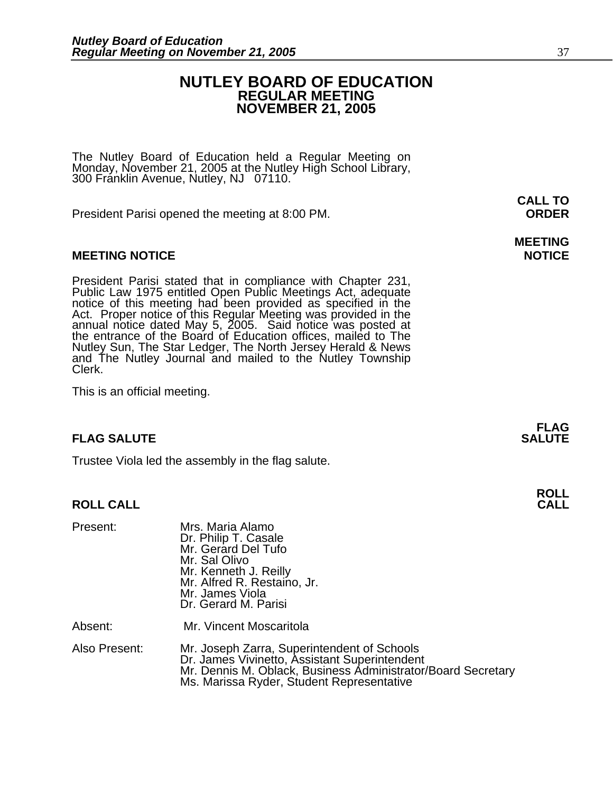## **NUTLEY BOARD OF EDUCATION REGULAR MEETING NOVEMBER 21, 2005**

**CALL TO** 

The Nutley Board of Education held a Regular Meeting on Monday, November 21, 2005 at the Nutley High School Library, 300 Franklin Avenue, Nutley, NJ 07110.

President Parisi opened the meeting at 8:00 PM. **ORDER**

#### **MEETING NOTICE NOTICE AND RESERVE ASSESS**

President Parisi stated that in compliance with Chapter 231,<br>Public Law 1975 entitled Open Public Meetings Act, adequate<br>notice of this meeting had been provided as specified in the<br>Act. Proper notice of this Regular Meeti annual notice dated May 5, 2005. Said notice was posted at<br>the entrance of the Board of Education offices, mailed to The Nutley Sun, The Star Ledger, The North Jersey Herald & News and The Nutley Journal and mailed to the Nutley Township Clerk.

This is an official meeting.

#### **FLAG SALUTE SALUTE SALUTE**

Trustee Viola led the assembly in the flag salute.

#### **ROLL CALL**

| Present:      | Mrs. Maria Alamo<br>Dr. Philip T. Casale<br>Mr. Gerard Del Tufo<br>Mr. Sal Olivo<br>Mr. Kenneth J. Reilly<br>Mr. Alfred R. Restaino, Jr.<br>Mr. James Viola<br>Dr. Gerard M. Parisi                       |
|---------------|-----------------------------------------------------------------------------------------------------------------------------------------------------------------------------------------------------------|
| Absent:       | Mr. Vincent Moscaritola                                                                                                                                                                                   |
| Also Present: | Mr. Joseph Zarra, Superintendent of Schools<br>Dr. James Vivinetto, Assistant Superintendent<br>Mr. Dennis M. Oblack, Business Administrator/Board Secretary<br>Ms. Marissa Ryder, Student Representative |

**MEETING** 

**FLAG** 

**ROLL**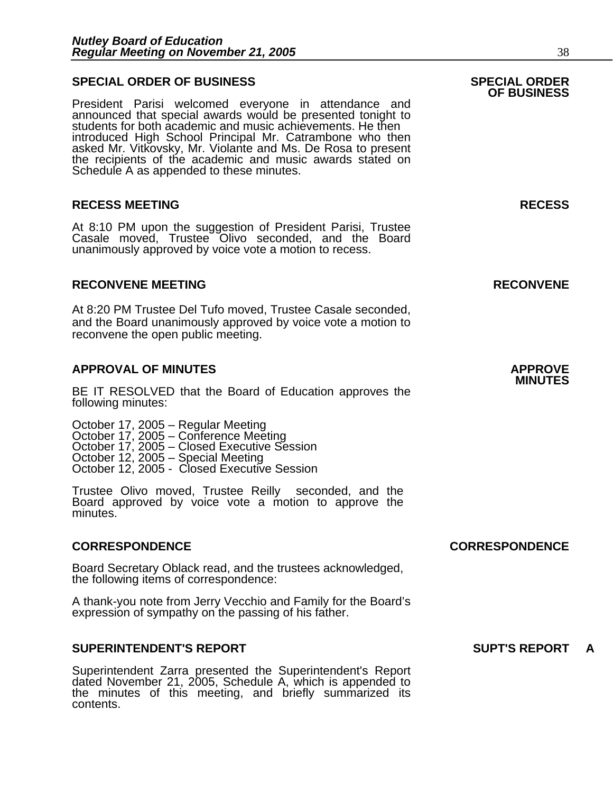#### **SPECIAL ORDER OF BUSINESS SPECIAL ORDER**

President Parisi welcomed everyone in attendance and<br>announced that special awards would be presented tonight to<br>students for both academic and music achievements. He then introduced High School Principal Mr. Catrambone who then<br>asked Mr. Vitkovsky, Mr. Violante and Ms. De Rosa to present<br>the recipients of the academic and music awards stated on the recipients of the academic and music awards stated on Schedule A as appended to these minutes.

#### **RECESS MEETING RECESS**

At 8:10 PM upon the suggestion of President Parisi, Trustee Casale moved, Trustee Olivo seconded, and the Board unanimously approved by voice vote a motion to recess.

#### **RECONVENE MEETING RECONVENE**

At 8:20 PM Trustee Del Tufo moved, Trustee Casale seconded, and the Board unanimously approved by voice vote a motion to reconvene the open public meeting.

## **APPROVAL OF MINUTES APPROVE**

BE IT RESOLVED that the Board of Education approves the following minutes:

 October 17, 2005 – Regular Meeting October 17, 2005 - Conference Meeting October 17, 2005 – Closed Executive Session October 12, 2005 – Special Meeting October 12, 2005 - Closed Executive Session

Trustee Olivo moved, Trustee Reilly seconded, and the Board approved by voice vote a motion to approve the minutes.

#### **CORRESPONDENCE CORRESPONDENCE**

Board Secretary Oblack read, and the trustees acknowledged, the following items of correspondence:

A thank-you note from Jerry Vecchio and Family for the Board's expression of sympathy on the passing of his father.

#### **SUPERINTENDENT'S REPORT SUPT'S REPORT A**

Superintendent Zarra presented the Superintendent's Report dated November 21, 2005, Schedule A, which is appended to the minutes of this meeting, and briefly summarized its contents.

## **OF BUSINESS**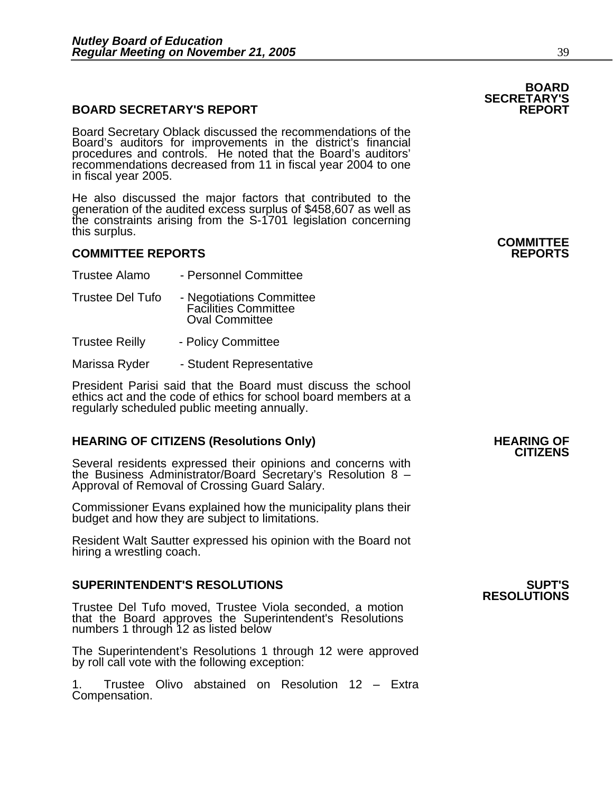#### **BOARD SECRETARY'S REPORT**

Board Secretary Oblack discussed the recommendations of the Board's auditors for improvements in the district's financial procedures and controls. He noted that the Board's auditors' recommendations decreased from 11 in fiscal year 2004 to one in fiscal year 2005.

He also discussed the major factors that contributed to the generation of the audited excess surplus of \$458,607 as well as<br>the constraints arising from the S-1701 legislation concerning<br>this surplus. **COMMITTEE REPORTS COMMITTEE**<br>**COMMITTEE REPORTS** 

#### **COMMITTEE REPORTS REPORTS**

- Trustee Alamo Personnel Committee
- Trustee Del Tufo Negotiations Committee Facilities Committee Oval Committee
- Trustee Reilly Policy Committee
- Marissa Ryder Student Representative

President Parisi said that the Board must discuss the school ethics act and the code of ethics for school board members at a regularly scheduled public meeting annually.

## **HEARING OF CITIZENS (Resolutions Only) HEARING OF CITIZENS**

Several residents expressed their opinions and concerns with the Business Administrator/Board Secretary's Resolution 8 – Approval of Removal of Crossing Guard Salary.

Commissioner Evans explained how the municipality plans their budget and how they are subject to limitations.

Resident Walt Sautter expressed his opinion with the Board not hiring a wrestling coach.

### **SUPERINTENDENT'S RESOLUTIONS SUPT'S**

Trustee Del Tufo moved, Trustee Viola seconded, a motion that the Board approves the Superintendent's Resolutions numbers 1 through 12 as listed below

The Superintendent's Resolutions 1 through 12 were approved by roll call vote with the following exception:

1. Trustee Olivo abstained on Resolution 12 – Extra Compensation.

## **BOARD SECRETARY'S**

## **RESOLUTIONS**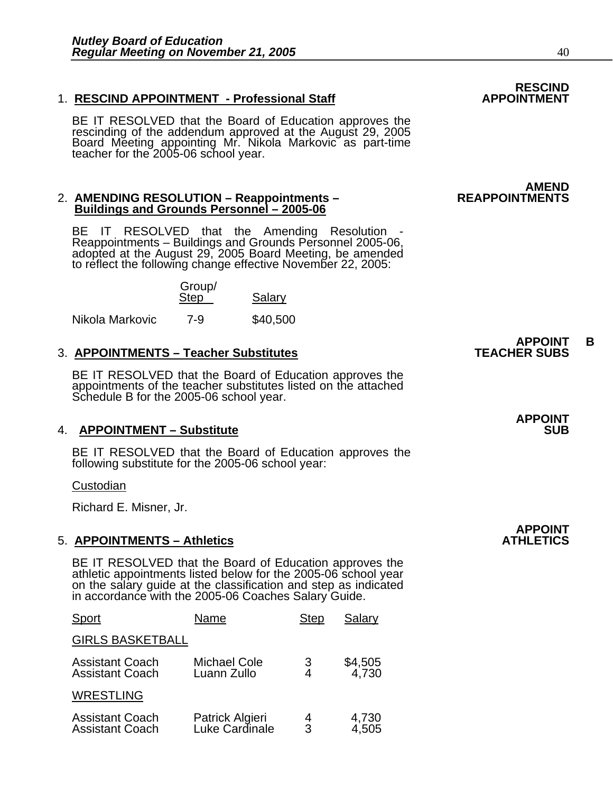### 1. **RESCIND APPOINTMENT - Professional Staff**

BE IT RESOLVED that the Board of Education approves the rescinding of the addendum approved at the August 29, 2005 Board Meeting appointing Mr. Nikola Markovic as part-time teacher for the 2005-06 school year.

#### 2. **AMENDING RESOLUTION – Reappointments – REAPPOINTMENTS Buildings and Grounds Personnel – 2005-06**

BE IT RESOLVED that the Amending Resolution -<br>Reappointments – Buildings and Grounds Personnel 2005-06, adopted at the August 29, 2005 Board Meeting, be amended<br>to reflect the following change effective November 22, 2005:

| Group/ |        |
|--------|--------|
| Step   | Salary |
|        |        |

Nikola Markovic 7-9 \$40,500

## **3. APPOINTMENTS - Teacher Substitutes**

BE IT RESOLVED that the Board of Education approves the appointments of the teacher substitutes listed on the attached Schedule B for the 2005-06 school year.

#### **4. APPOINTMENT – Substitute**

BE IT RESOLVED that the Board of Education approves the following substitute for the 2005-06 school year:

**Custodian** 

Richard E. Misner, Jr.

#### 5. **APPOINTMENTS - Athletics**

BE IT RESOLVED that the Board of Education approves the athletic appointments listed below for the 2005-06 school year on the salary guide at the classification and step as indicated in accordance with the 2005-06 Coaches

| Sport                                            | Name                               | <b>Step</b> | Salary           |
|--------------------------------------------------|------------------------------------|-------------|------------------|
| <b>GIRLS BASKETBALL</b>                          |                                    |             |                  |
| <b>Assistant Coach</b><br><b>Assistant Coach</b> | <b>Michael Cole</b><br>Luann Zullo | 3           | \$4,505<br>4,730 |
| <b>WRESTLING</b>                                 |                                    |             |                  |
| <b>Assistant Coach</b><br><b>Assistant Coach</b> | Patrick Algieri<br>Luke Cardinale  | 4<br>3      | 4,730<br>4,505   |

# **RESCIND<br>APPOINTMENT**

## **AMEND**

## **APPOINT B**<br>TEACHER SUBS

## **APPOINT**

**APPOINT**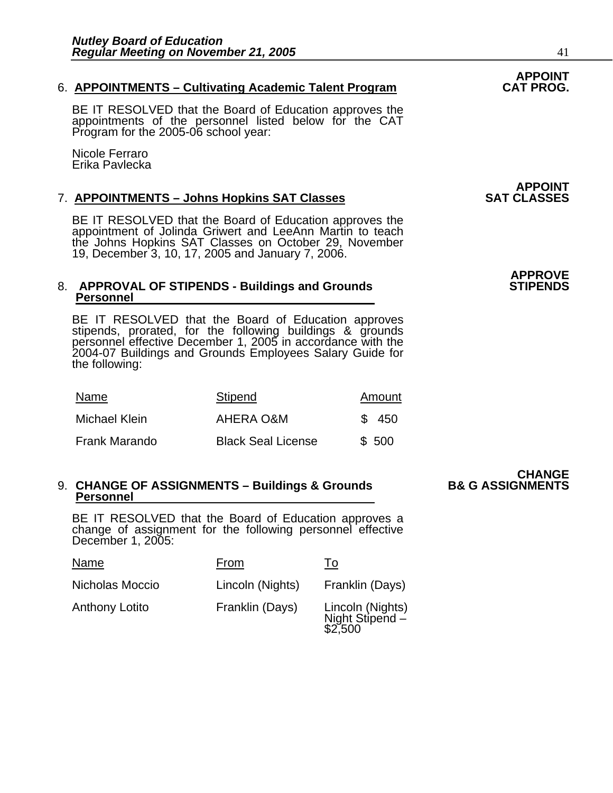#### 6. **APPOINTMENTS – Cultivating Academic Talent Program**

BE IT RESOLVED that the Board of Education approves the appointments of the personnel listed below for the CAT Program for the 2005-06 school year:

Nicole Ferraro Erika Pavlecka

#### 7. **APPOINTMENTS - Johns Hopkins SAT Classes**

BE IT RESOLVED that the Board of Education approves the<br>appointment of Jolinda Griwert and LeeAnn Martin to teach the Johns Hopkins SAT Classes on October 29, November 19, December 3, 10, 17, 2005 and January 7, 2006.

#### 8. APPROVAL OF STIPENDS - Buildings and Grounds **Personnel**

BE IT RESOLVED that the Board of Education approves<br>stipends, prorated, for the following buildings & grounds<br>personnel effective December 1, 2005 in accordance with the 2004-07 Buildings and Grounds Employees Salary Guide for<br>the following:

| Name          | Stipend                   | Amount |
|---------------|---------------------------|--------|
| Michael Klein | AHERA O&M                 | \$ 450 |
| Frank Marando | <b>Black Seal License</b> | \$500  |

## 9. **CHANGE OF ASSIGNMENTS – Buildings & Grounds**<br>Personnel

BE IT RESOLVED that the Board of Education approves a change of assignment for the following personnel effective December 1, 2005:

| Name                  | From             | l o                                            |
|-----------------------|------------------|------------------------------------------------|
| Nicholas Moccio       | Lincoln (Nights) | Franklin (Days)                                |
| <b>Anthony Lotito</b> | Franklin (Days)  | Lincoln (Nights)<br>Night Stipend -<br>\$2,500 |

## **APPOINT**

## **APPOINT**

## **APPROVE**

**CHANGE**<br>B& G ASSIGNMENTS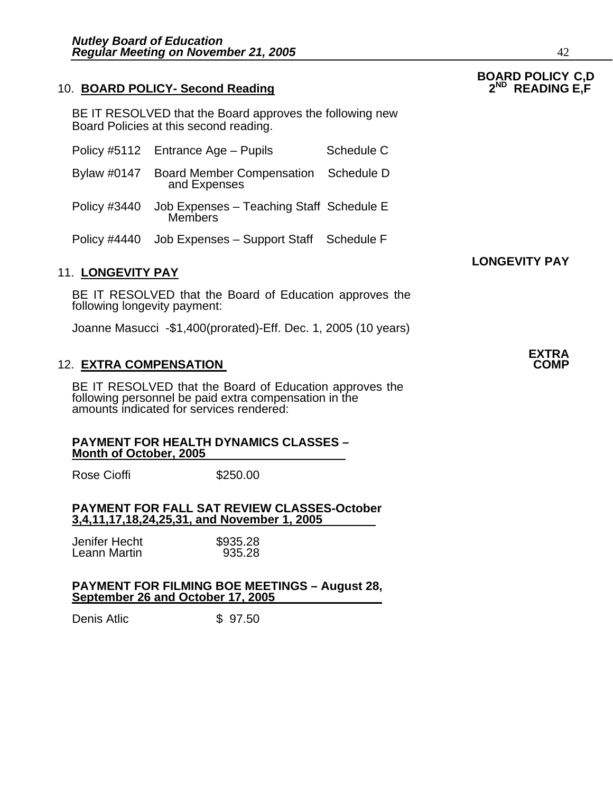### 10. **BOARD POLICY- Second Reading**

BE IT RESOLVED that the Board approves the following new Board Policies at this second reading.

|                     | Policy #5112 Entrance Age - Pupils                               | Schedule C |
|---------------------|------------------------------------------------------------------|------------|
|                     | Bylaw #0147 Board Member Compensation Schedule D<br>and Expenses |            |
| <b>Policy #3440</b> | Job Expenses - Teaching Staff Schedule E<br>Members              |            |
| <b>Policy #4440</b> | Job Expenses - Support Staff Schedule F                          |            |

#### 11. **LONGEVITY PAY**

BE IT RESOLVED that the Board of Education approves the following longevity payment:

Joanne Masucci -\$1,400(prorated)-Eff. Dec. 1, 2005 (10 years)

#### **12. EXTRA COMPENSATION**

BE IT RESOLVED that the Board of Education approves the following personnel be paid extra compensation in the amounts indicated for services rendered:

#### **PAYMENT FOR HEALTH DYNAMICS CLASSES – Month of October, 2005**

Rose Cioffi 5250.00

#### **PAYMENT FOR FALL SAT REVIEW CLASSES-October 3,4,11,17,18,24,25,31, and November 1, 2005**

| Jenifer Hecht | \$935.28 |
|---------------|----------|
| Leann Martin  | 935.28   |

#### **PAYMENT FOR FILMING BOE MEETINGS – August 28, September 26 and October 17, 2005**

Denis Atlic **\$ 97.50** 

# **BOARD POLICY C,D**

**LONGEVITY PAY** 

**EXTRA**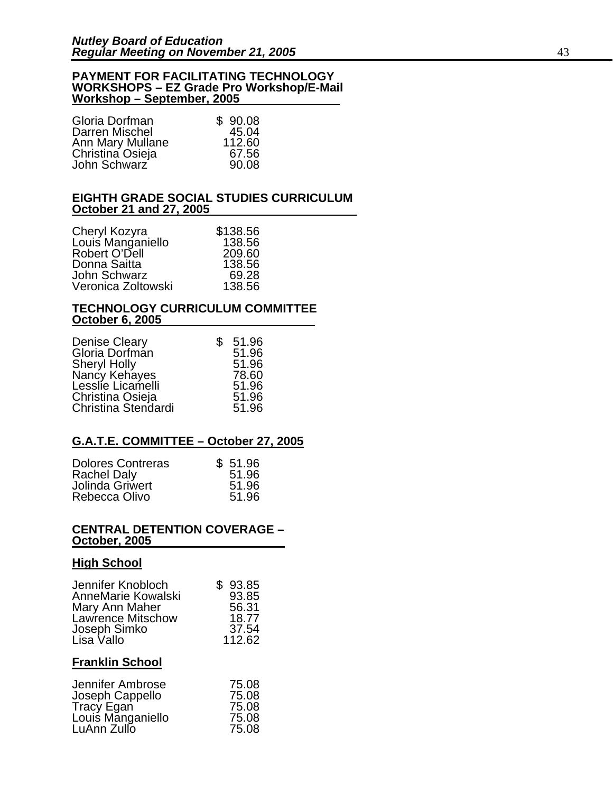#### **PAYMENT FOR FACILITATING TECHNOLOGY WORKSHOPS – EZ Grade Pro Workshop/E-Mail Workshop – September, 2005**

| Gloria Dorfman   | \$90.08 |
|------------------|---------|
| Darren Mischel   | 45.04   |
| Ann Mary Mullane | 112.60  |
| Christina Osieja | 67.56   |
| John Schwarz     | 90.08   |

#### **EIGHTH GRADE SOCIAL STUDIES CURRICULUM October 21 and 27, 2005**

| Cheryl Kozyra      | \$138.56 |
|--------------------|----------|
| Louis Manganiello  | 138.56   |
| Robert O'Dell      | 209.60   |
| Donna Saitta       | 138.56   |
| John Schwarz       | 69.28    |
| Veronica Zoltowski | 138.56   |

#### **TECHNOLOGY CURRICULUM COMMITTEE October 6, 2005**

| <b>Denise Cleary</b> | \$<br>51.96 |
|----------------------|-------------|
| Gloria Dorfman       | 51.96       |
| <b>Sheryl Holly</b>  | 51.96       |
| Nancy Kehayes        | 78.60       |
| Lesslie Licamelli    | 51.96       |
| Christina Osieja     | 51.96       |
| Christina Stendardi  | 51.96       |

## **G.A.T.E. COMMITTEE – October 27, 2005**

| <b>Dolores Contreras</b> | \$51.96 |
|--------------------------|---------|
| <b>Rachel Daly</b>       | 51.96   |
| Jolinda Griwert          | 51.96   |
| Rebecca Olivo            | 51.96   |

#### **CENTRAL DETENTION COVERAGE – October, 2005**

#### **High School**

| Jennifer Knobloch  | \$93.85 |
|--------------------|---------|
| AnneMarie Kowalski | 93.85   |
| Mary Ann Maher     | 56.31   |
| Lawrence Mitschow  | 18.77   |
| Joseph Simko       | 37.54   |
| Lisa Vallo         | 112.62  |

## **Franklin School**

| 75.08 |
|-------|
| 75.08 |
| 75.08 |
| 75.08 |
| 75.08 |
|       |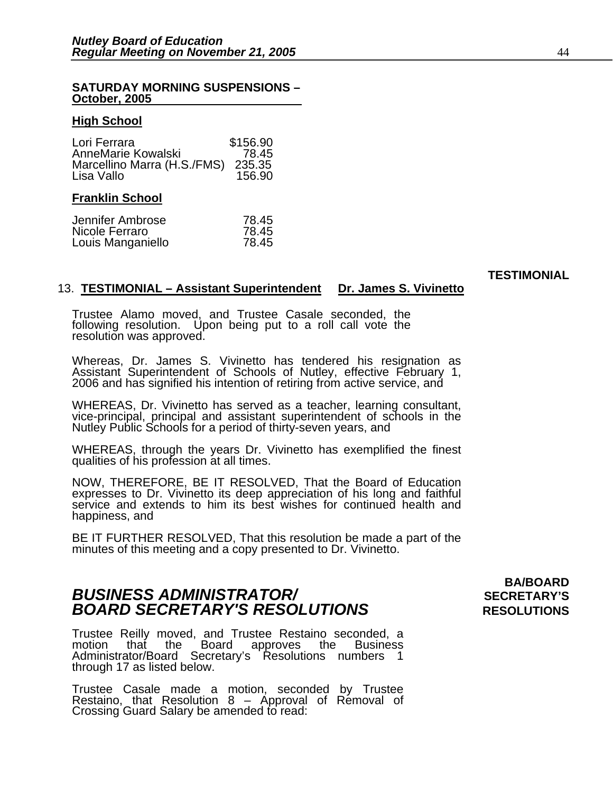#### **SATURDAY MORNING SUSPENSIONS – October, 2005**

#### **High School**

| Lori Ferrara                | \$156.90 |
|-----------------------------|----------|
| AnneMarie Kowalski          | 78.45    |
| Marcellino Marra (H.S./FMS) | 235.35   |
| Lisa Vallo                  | 156.90   |

#### **Franklin School**

| 78.45 |
|-------|
| 78.45 |
| 78.45 |
|       |

**TESTIMONIAL** 

#### 13. **TESTIMONIAL – Assistant Superintendent Dr. James S. Vivinetto**

Trustee Alamo moved, and Trustee Casale seconded, the following resolution. Upon being put to a roll call vote the resolution was approved.

Whereas, Dr. James S. Vivinetto has tendered his resignation as Assistant Superintendent of Schools of Nutley, effective February 1, 2006 and has signified his intention of retiring from active service, and

WHEREAS, Dr. Vivinetto has served as a teacher, learning consultant, vice-principal, principal and assistant superintendent of schools in the Nutley Public Schools for a period of thirty-seven years, and

WHEREAS, through the years Dr. Vivinetto has exemplified the finest qualities of his profession at all times.

NOW, THEREFORE, BE IT RESOLVED, That the Board of Education expresses to Dr. Vivinetto its deep appreciation of his long and faithful service and extends to him its best wishes for continued health and happiness, and

BE IT FURTHER RESOLVED, That this resolution be made a part of the minutes of this meeting and a copy presented to Dr. Vivinetto.

## **BUSINESS ADMINISTRATOR/** *BUSINESS ADMINISTRATOR/* **BOARD SECRETARY'S RESOLUTIONS** RESOLUTIONS

Trustee Reilly moved, and Trustee Restaino seconded, a motion that the Board approves the Business Administrator/Board Secretary's Resolutions numbers 1<br>through 17 as listed below.

Trustee Casale made a motion, seconded by Trustee Restaino, that Resolution 8 – Approval of Removal of Crossing Guard Salary be amended to read:

# **BA/BOARD**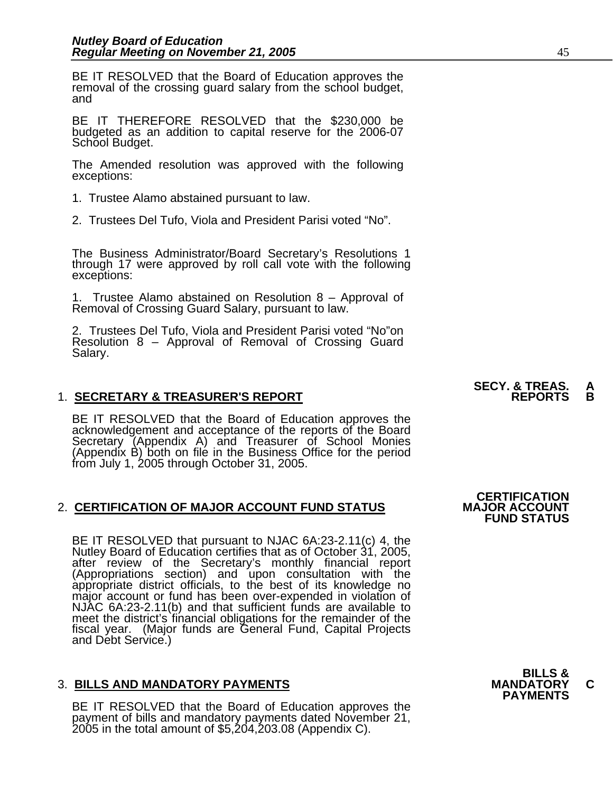BE IT RESOLVED that the Board of Education approves the removal of the crossing guard salary from the school budget, and

BE IT THEREFORE RESOLVED that the \$230,000 be budgeted as an addition to capital reserve for the 2006-07 School Budget.

The Amended resolution was approved with the following exceptions:

- 1. Trustee Alamo abstained pursuant to law.
- 2. Trustees Del Tufo, Viola and President Parisi voted "No".

The Business Administrator/Board Secretary's Resolutions 1 through 17 were approved by roll call vote with the following exceptions:

1. Trustee Alamo abstained on Resolution 8 – Approval of Removal of Crossing Guard Salary, pursuant to law.

2. Trustees Del Tufo, Viola and President Parisi voted "No"on Resolution 8 – Approval of Removal of Crossing Guard Salary.

### **1. SECRETARY & TREASURER'S REPORT**

BE IT RESOLVED that the Board of Education approves the<br>acknowledgement and acceptance of the reports of the Board<br>Secretary (Appendix A) and Treasurer of School Monies (Appendix B) both on file in the Business Office for the period<br>from July 1, 2005 through October 31, 2005.

#### 2. **CERTIFICATION OF MAJOR ACCOUNT FUND STATUS**

BE IT RESOLVED that pursuant to NJAC 6A:23-2.11(c) 4, the Nutley Board of Education certifies that as of October 31, 2005, after review of the Secretary's monthly financial report (Appropriations section) and upon consultation with the appropriate district officials, to the best of its knowledge no major account or fund has been over-expended in violation of NJAC 6A:23-2.11(b) and that sufficient fu meet the district's financial obligations for the remainder of the fiscal year. (Major funds are General Fund, Capital Projects and Debt Service.)

3. BILLS AND MANDATORY PAYMENTS<br>
BE IT RESOLVED that the Board of Education approves the **PAYMENTS** payment of bills and mandatory payments dated November 21, 2005 in the total amount of \$5,204,203.08 (Appendix C).

**SECY. & TREAS. A** 

**CERTIFICATION<br>MAJOR ACCOUNT FUND STATUS** 

**BILLS &**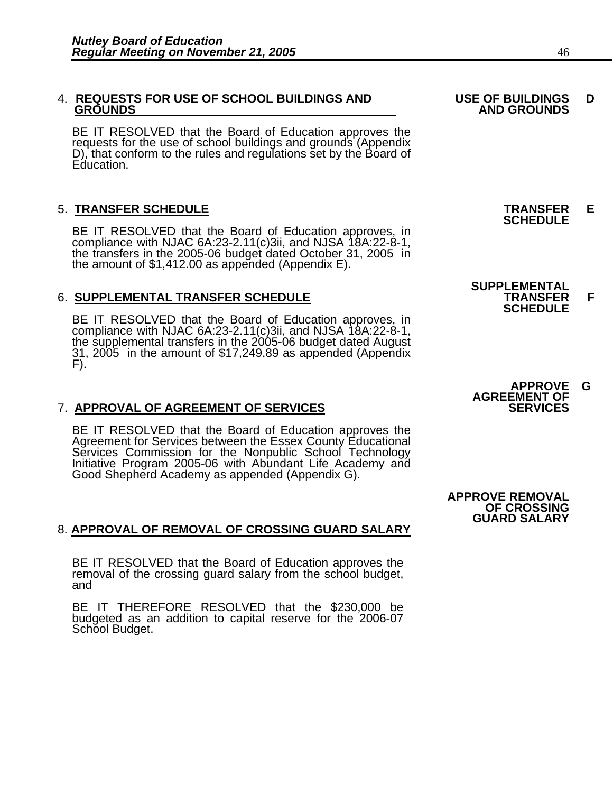#### 4. **REQUESTS FOR USE OF SCHOOL BUILDINGS AND USE OF BUILDINGS D GROUNDS** AND GROUNDS AND GROUNDS AND GROUNDS

BE IT RESOLVED that the Board of Education approves the requests for the use of school buildings and grounds (Appendix D), that conform to the rules and regulations set by the Board of Education.

5. **TRANSFER SCHEDULE**<br>**BE IT RESOLVED that the Board of Education approves, in SCHEDULE**<br>**BE IT RESOLVED that the Board of Education approves, in** compliance with NJAC 6A:23-2.11(c)3ii, and NJSA 18A:22-8-1, the transfers in the 2005-06 budget dated October 31, 2005 in the amount of \$1,412.00 as appended (Appendix E).

6. **SUPPLEMENTAL TRANSFER SCHEDULE TRANSFER F SCHEDULE SCHEDULE SCHEDULE TRANSFER F SCHEDULE** compliance with NJAC 6A:23-2.11(c)3ii, and NJSA 18A:22-8-1,<br>the supplemental transfers in the 2005-06 budget dated August<br>31, 2005 in the amount of \$17,249.89 as appended (Appendix<br>F).

#### **7. APPROVAL OF AGREEMENT OF SERVICES**

BE IT RESOLVED that the Board of Education approves the Agreement for Services between the Essex County Educational Services Commission for the Nonpublic School Technology Initiative Program 2005-06 with Abundant Life Acad Good Shepherd Academy as appended (Appendix G).

#### 8. **APPROVAL OF REMOVAL OF CROSSING GUARD SALARY**

BE IT RESOLVED that the Board of Education approves the removal of the crossing guard salary from the school budget, and

BE IT THEREFORE RESOLVED that the \$230,000 be budgeted as an addition to capital reserve for the 2006-07 School Budget.

# **SUPPLEMENTAL**

**APPROVE G AGREEMENT OF** 

 **APPROVE REMOVAL OF CROSSING GUARD SALARY**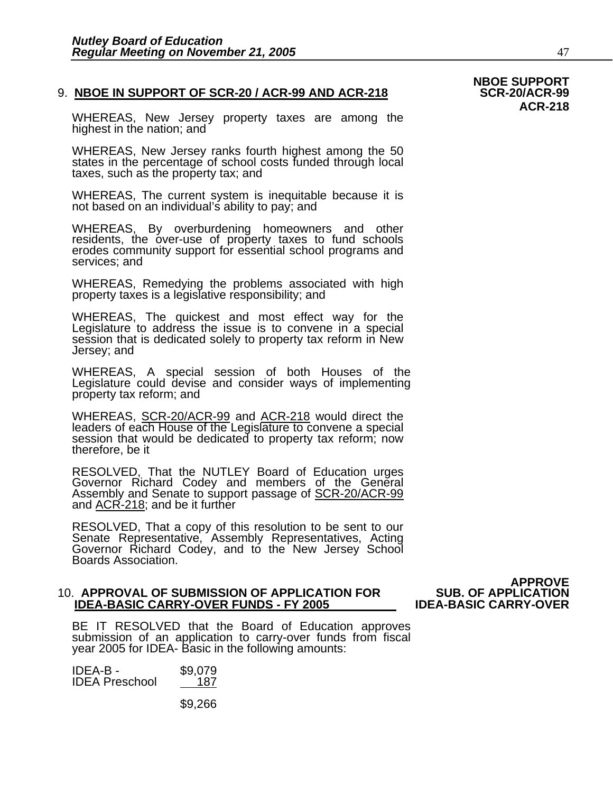#### 9. **NBOE IN SUPPORT OF SCR-20 / ACR-99 AND ACR-218**

WHEREAS, New Jersey property taxes are among the highest in the nation; and

WHEREAS, New Jersey ranks fourth highest among the 50 states in the percentage of school costs funded through local taxes, such as the property tax; and

WHEREAS, The current system is inequitable because it is not based on an individual's ability to pay; and

WHEREAS, By overburdening homeowners and other residents, the over-use of property taxes to fund schools erodes community support for essential school programs and services; and

WHEREAS, Remedying the problems associated with high property taxes is a legislative responsibility; and

WHEREAS, The quickest and most effect way for the Legislature to address the issue is to convene in a special session that is dedicated solely to property tax reform in New<br>Jersey; and

WHEREAS, A special session of both Houses of the Legislature could devise and consider ways of implementing property tax reform; and

WHEREAS, SCR-20/ACR-99 and ACR-218 would direct the leaders of each House of the Legislature to convene a special<br>session that would be dedicated to property tax reform; now<br>therefore, be it

RESOLVED, That the NUTLEY Board of Education urges Governor Richard Codey and members of the General Assembly and Senate to support passage of <u>SCR-20/ACR-99</u><br>and <u>ACR-218</u>; and be it further

RESOLVED, That a copy of this resolution to be sent to our Senate Representative, Assembly Representatives, Acting Governor Richard Codey, and to the New Jersey School Boards Association.

#### 10. **APPROVAL OF SUBMISSION OF APPLICATION FOR SUB. OF APPLICATION IDEA-BASIC CARRY-OVER FUNDS - FY 2005**

**APPROVE**<br>SUB. OF APPLICATION

BE IT RESOLVED that the Board of Education approves submission of an application to carry-over funds from fiscal year 2005 for IDEA- Basic in the following amounts:

| IDEA-B -              | \$9,079 |
|-----------------------|---------|
| <b>IDEA Preschool</b> | 187     |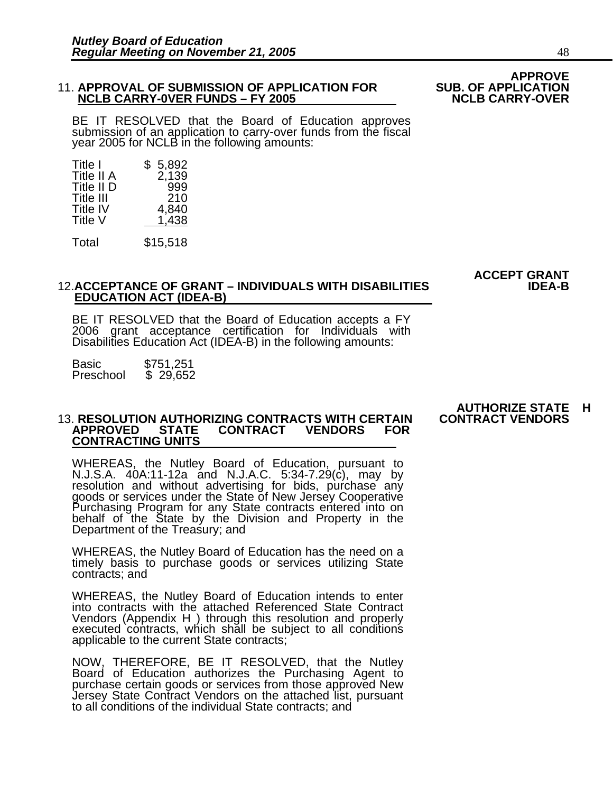## 11. **APPROVAL OF SUBMISSION OF APPLICATION FOR SUB. OF APPLICATION NCLB CARRY-0VER FUNDS – FY 2005 NCLB CARRY-OVER**

BE IT RESOLVED that the Board of Education approves submission of an application to carry-over funds from the fiscal year 2005 for NCLB in the following amounts:

| Title I          | 5,892<br>\$ |
|------------------|-------------|
| Title II A       | 2,139       |
| Title II D       | 999         |
| <b>Title III</b> | 210         |
| Title IV         | 4,840       |
| Title V          | 1,438       |
|                  |             |

Total \$15,518

## **ACCEPT GRANT**

#### **12.ACCEPTANCE OF GRANT - INDIVIDUALS WITH DISABILITIES EDUCATION ACT (IDEA-B)**

BE IT RESOLVED that the Board of Education accepts a FY<br>2006 grant acceptance certification for Individuals with Disabilities Education Act (IDEA-B) in the following amounts:

Basic \$751,251<br>Preschool \$ 29.652  $$29,652$ 

# **AUTHORIZE STATE H**

#### 13. **RESOLUTION AUTHORIZING CONTRACTS WITH CERTAIN CONTRACT VENDORS APPROVED CONTRACTING UNITS**

WHEREAS, the Nutley Board of Education, pursuant to<br>N.J.S.A. 40A:11-12a and N.J.A.C. 5:34-7.29(c), may by<br>resolution and without advertising for bids, purchase any goods or services under the State of New Jersey Cooperative<br>Purchasing Program for any State contracts entered into on behalf of the State by the Division and Property in the Department of the Treasury; and

WHEREAS, the Nutley Board of Education has the need on a timely basis to purchase goods or services utilizing State contracts; and

WHEREAS, the Nutley Board of Education intends to enter into contracts with the attached Referenced State Contract Vendors (Appendix H ) through this resolution and properly executed contracts, which shall be subject to all conditions applicable to the current State contracts;

NOW, THEREFORE, BE IT RESOLVED, that the Nutley Board of Education authorizes the Purchasing Agent to purchase certain goods or services from those approved New Jersey State Contract Vendors on the attached list, pursuant to all conditions of the individual State contracts; and

# **APPROVE**<br>SUB. OF APPLICATION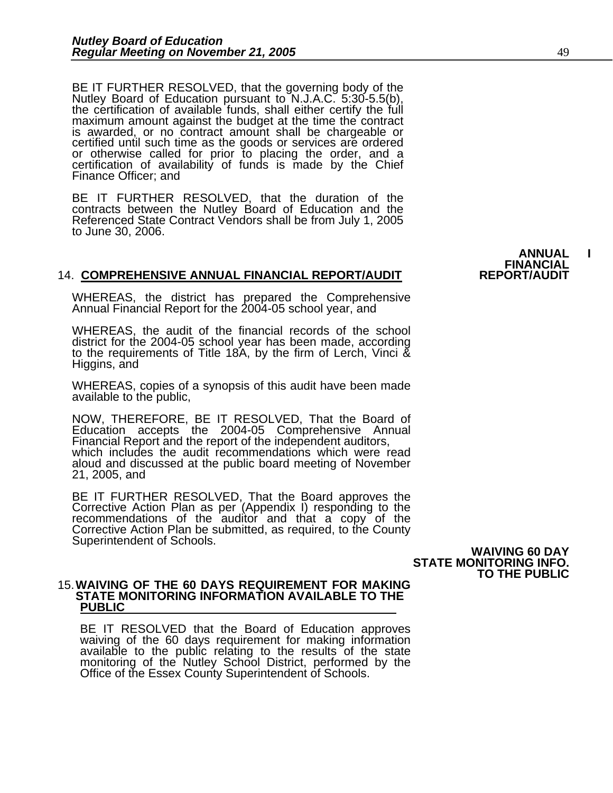BE IT FURTHER RESOLVED, that the governing body of the Nutley Board of Education pursuant to N.J.A.C. 5:30-5.5(b), the certification of available funds, shall either certify the full maximum amount against the budget at th certified until such time as the goods or services are ordered<br>or otherwise called for prior to placing the order, and a<br>certification of availability of funds is made by the Chief<br>Finance Officer; and

BE IT FURTHER RESOLVED, that the duration of the contracts between the Nutley Board of Education and the Referenced State Contract Vendors shall be from July 1, 2005 to June 30, 2006.

#### **14. COMPREHENSIVE ANNUAL FINANCIAL REPORT/AUDIT**

WHEREAS, the district has prepared the Comprehensive Annual Financial Report for the 2004-05 school year, and

WHEREAS, the audit of the financial records of the school district for the 2004-05 school year has been made, according to the requirements of Title 18A, by the firm of Lerch, Vinci & Higgins, and

WHEREAS, copies of a synopsis of this audit have been made available to the public,

NOW, THEREFORE, BE IT RESOLVED, That the Board of Education accepts the 2004-05 Comprehensive Annual<br>Financial Report and the report of the independent auditors, which includes the audit recommendations which were read aloud and discussed at the public board meeting of November 21, 2005, and

BE IT FURTHER RESOLVED, That the Board approves the Corrective Action Plan as per (Appendix I) responding to the recommendations of the auditor and that a copy of the Corrective Action Plan be submitted, as required, to the County Superintendent of Schools.

#### 15. **WAIVING OF THE 60 DAYS REQUIREMENT FOR MAKING STATE MONITORING INFORMATION AVAILABLE TO THE PUBLIC**

BE IT RESOLVED that the Board of Education approves waiving of the 60 days requirement for making information available to the public relating to the results of the state monitoring of the Nutley School District, performed by the Office of the Essex County Superintendent of Schools.

**ANNUAL I FINANCIAL<br>REPORT/AUDIT** 

 **WAIVING 60 DAY STATE MONITORING INFO. TO THE PUBLIC**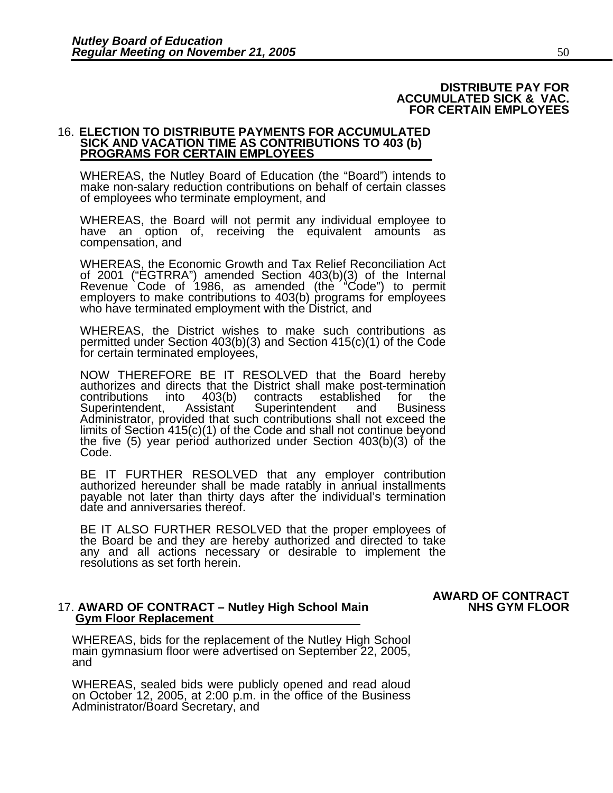#### **DISTRIBUTE PAY FOR ACCUMULATED SICK & VAC. FOR CERTAIN EMPLOYEES**

#### 16. **ELECTION TO DISTRIBUTE PAYMENTS FOR ACCUMULATED SICK AND VACATION TIME AS CONTRIBUTIONS TO 403 (b) PROGRAMS FOR CERTAIN EMPLOYEES**

WHEREAS, the Nutley Board of Education (the "Board") intends to make non-salary reduction contributions on behalf of certain classes of employees who terminate employment, and

WHEREAS, the Board will not permit any individual employee to have an option of, receiving the equivalent amounts as compensation, and

WHEREAS, the Economic Growth and Tax Relief Reconciliation Act of 2001 ("EGTRRA") amended Section 403(b)(3) of the Internal Revenue `Code of ´1986, as amended (thè <sup>´</sup>"Code") to permit<br>employers to make contributions to 403(b) programs for employees<br>who have terminated employment with the District, and

WHEREAS, the District wishes to make such contributions as permitted under Section 403(b)(3) and Section 415(c)(1) of the Code for certain terminated employees,

NOW THEREFORE BE IT RESOLVED that the Board hereby authorizes and directs that the District shall make post-termination contributions into 403(b) contracts established for the Superintendent, Assistant Superintendent and B Administrator, provided that such contributions shall not exceed the limits of Section 415(c)(1) of the Code and shall not continue beyond the five (5) year period authorized under Section 403(b)(3) of the Code.

BE IT FURTHER RESOLVED that any employer contribution authorized hereunder shall be made ratably in annual installments payable not later than thirty days after the individual's termination date and anniversaries thereof.

BE IT ALSO FURTHER RESOLVED that the proper employees of the Board be and they are hereby authorized and directed to take any and all actions necessary or desirable to implement the resolutions as set forth herein.

#### 17. AWARD OF CONTRACT – Nutley High School Main  **Gym Floor Replacement**

**AWARD OF CONTRACT** 

WHEREAS, bids for the replacement of the Nutley High School main gymnasium floor were advertised on September 22, 2005, and

WHEREAS, sealed bids were publicly opened and read aloud on October 12, 2005, at 2:00 p.m. in the office of the Business Administrator/Board Secretary, and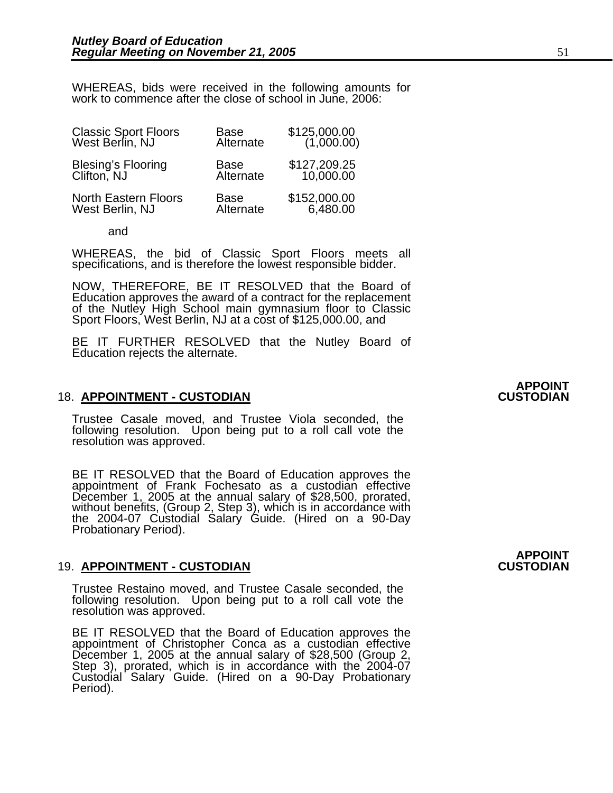WHEREAS, bids were received in the following amounts for work to commence after the close of school in June, 2006:

| <b>Classic Sport Floors</b><br>West Berlin, NJ | Base<br>Alternate | \$125,000.00<br>(1,000.00) |
|------------------------------------------------|-------------------|----------------------------|
| Blesing's Flooring<br>Clifton, NJ              | Base<br>Alternate | \$127,209.25<br>10,000.00  |
| <b>North Eastern Floors</b><br>West Berlin, NJ | Base<br>Alternate | \$152,000.00<br>6,480.00   |

and

WHEREAS, the bid of Classic Sport Floors meets all specifications, and is therefore the lowest responsible bidder.

NOW, THEREFORE, BE IT RESOLVED that the Board of Education approves the award of a contract for the replacement of the Nutley High School main gymnasium floor to Classic<br>Sport Floors, West Berlin, NJ at a cost of \$125,000.00, and

BE IT FURTHER RESOLVED that the Nutley Board of Education rejects the alternate.

#### **APPOINT**  18. **APPOINTMENT - CUSTODIAN CUSTODIAN**

Trustee Casale moved, and Trustee Viola seconded, the following resolution. Upon being put to a roll call vote the resolution was approved.

BE IT RESOLVED that the Board of Education approves the<br>appointment of Frank Fochesato as a custodian effective December 1, 2005 at the annual salary of \$28,500, prorated,<br>without benefits, (Group 2, Step 3), which is in accordance with<br>the 2004-07 Custodial Salary Guide. (Hired on a 90-Day<br>Probationary Period).

#### 19. **APPOINTMENT - CUSTODIAN CUSTODIAN**

Trustee Restaino moved, and Trustee Casale seconded, the following resolution. Upon being put to a roll call vote the resolution was approved.

BE IT RESOLVED that the Board of Education approves the<br>appointment of Christopher Conca as a custodian effective December 1, 2005 at the annual salary of \$28,500 (Group 2,<br>Step 3), prorated, which is in accordance with the 2004-07 Custodial Salary Guide. (Hired on a 90-Day Probationary Period).

## **APPOINT**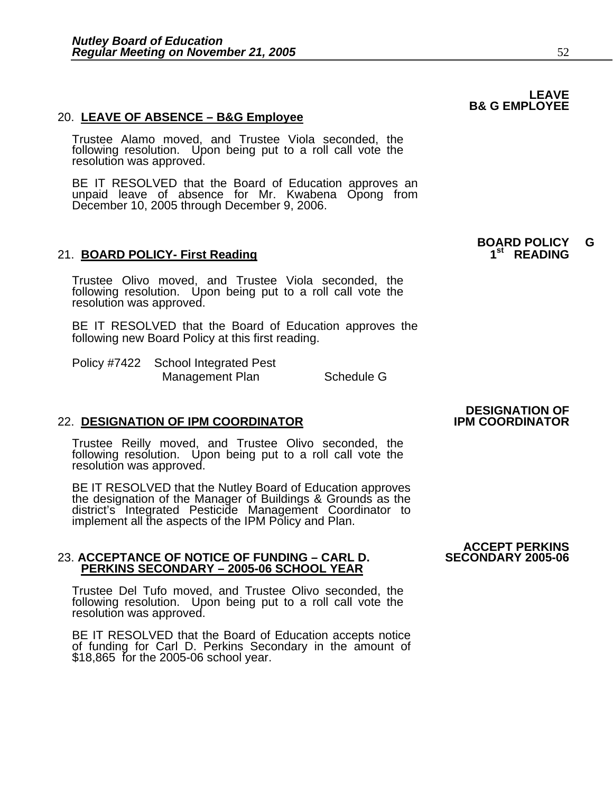#### 20. **LEAVE OF ABSENCE – B&G Employee**

Trustee Alamo moved, and Trustee Viola seconded, the following resolution. Upon being put to a roll call vote the resolution was approved.

BE IT RESOLVED that the Board of Education approves an unpaid leave of absence for Mr. Kwabena Opong from December 10, 2005 through December 9, 2006.

#### 21. **BOARD POLICY- First Reading**

Trustee Olivo moved, and Trustee Viola seconded, the following resolution. Upon being put to a roll call vote the resolution was approved.

BE IT RESOLVED that the Board of Education approves the following new Board Policy at this first reading.

Policy #7422 School Integrated Pest Management Plan Schedule G

#### **22. DESIGNATION OF IPM COORDINATOR**

Trustee Reilly moved, and Trustee Olivo seconded, the following resolution. Upon being put to a roll call vote the resolution was approved.

BE IT RESOLVED that the Nutley Board of Education approves<br>the designation of the Manager of Buildings & Grounds as the<br>district's Integrated Pesticide Management Coordinator to<br>implement all the aspects of the IPM Policy

#### 23. ACCEPTANCE OF NOTICE OF FUNDING - CARL D.  **PERKINS SECONDARY – 2005-06 SCHOOL YEAR**

Trustee Del Tufo moved, and Trustee Olivo seconded, the following resolution. Upon being put to a roll call vote the resolution was approved.

BE IT RESOLVED that the Board of Education accepts notice of funding for Carl D. Perkins Secondary in the amount of \$18,865 for the 2005-06 school year.

# **DESIGNATION OF**

#### **LEAVE B& G EMPLOYEE**

**BOARD POLICY G** 

# **ACCEPT PERKINS**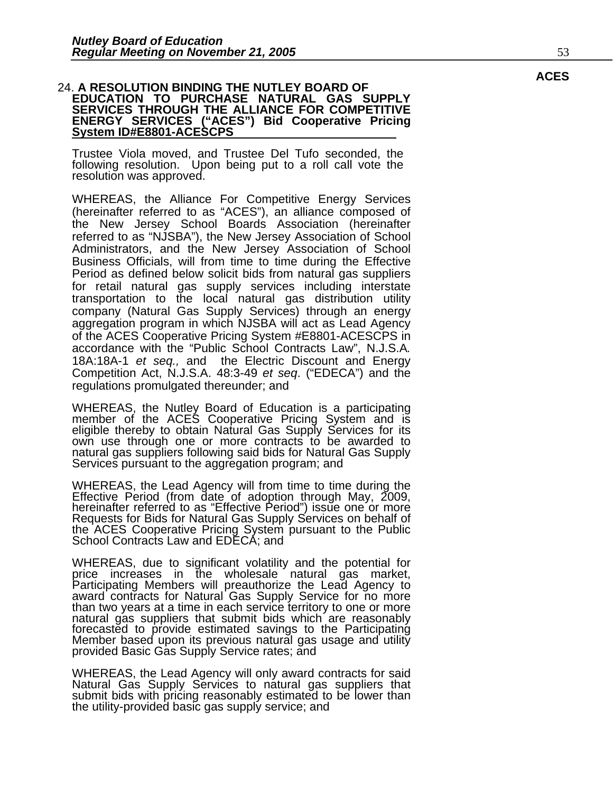#### **ACES**  24. **A RESOLUTION BINDING THE NUTLEY BOARD OF EDUCATION TO PURCHASE NATURAL GAS SUPPLY SERVICES THROUGH THE ALLIANCE FOR COMPETITIVE ENERGY SERVICES ("ACES") Bid Cooperative Pricing System ID#E8801-ACESCPS**

Trustee Viola moved, and Trustee Del Tufo seconded, the following resolution. Upon being put to a roll call vote the resolution was approved.

WHEREAS, the Alliance For Competitive Energy Services (hereinafter referred to as "ACES"), an alliance composed of the New Jersey School Boards Association (hereinafter referred to as "NJSBA"), the New Jersey Association of School Administrators, and the New Jersey Association of School Business Officials, will from time to time during the Effective Period as defined below solicit bids from natural gas suppliers for retail natural gas supply services including interstate transportation to the local natural gas distribution utility company (Natural Gas Supply Services) through an energy aggregation program in which NJSBA will act as Lead Agency of the ACES Cooperative Pricing System #E8801-ACESCPS in accordance with the "Public School Contracts Law", N.J.S.A*.*  18A:18A-1 *et seq.,* and the Electric Discount and Energy Competition Act, N.J.S.A. 48:3-49 *et seq*. ("EDECA") and the regulations promulgated thereunder; and

WHEREAS, the Nutley Board of Education is a participating member of the ACES Cooperative Pricing System and is eligible thereby to obtain Natural Gas Supply Services for its own use through one or more contracts to be awarded to natural gas suppliers following said bids for Natural Gas Supply Services pursuant to the aggregation program; and

WHEREAS, the Lead Agency will from time to time during the Effective Period (from date of adoption through May, 2009, hereinafter referred to as "Effective Period") issue one or more Requests for Bids for Natural Gas Suppl the ACES Cooperative Pricing System pursuant to the Public School Contracts Law and EDECA; and

WHEREAS, due to significant volatility and the potential for<br>price increases in the wholesale natural gas market, Participating Members will preauthorize the Lead Agency to<br>award contracts for Natural Gas Supply Service for no more<br>than two years at a time in each service territory to one or more<br>natural gas suppliers that submit bids

WHEREAS, the Lead Agency will only award contracts for said<br>Natural Gas Supply Services to natural gas suppliers that submit bids with pricing reasonably estimated to be lower than the utility-provided basic gas supply service; and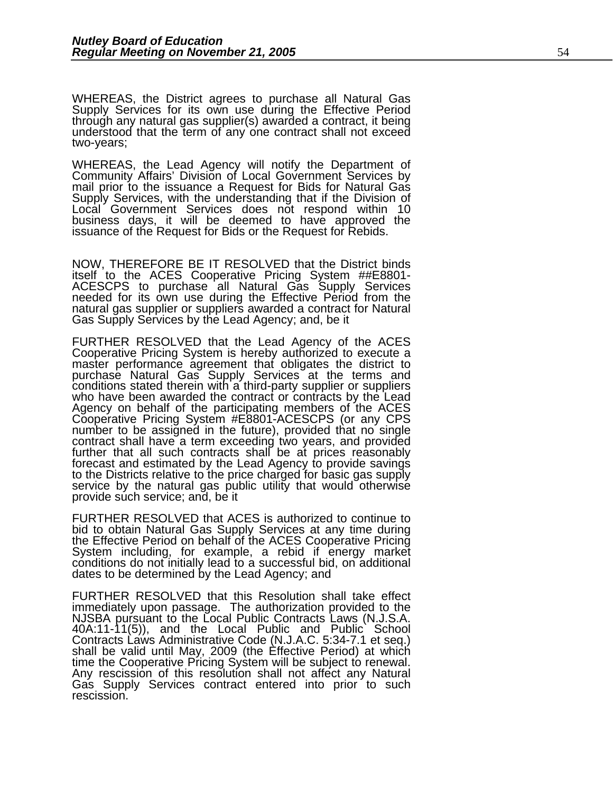WHEREAS, the District agrees to purchase all Natural Gas Supply Services for its own use during the Effective Period through any natural gas supplier(s) awarded a contract, it being understood that the term of any one contract shall not exceed two-years;

WHEREAS, the Lead Agency will notify the Department of Community Affairs' Division of Local Government Services by mail prior to the issuance a Request for Bids for Natural Gas Supply Services, with the understanding that if the Division of Local Government Services does not respond within 10 business days, it will be deemed to have approved the issuance of the Request for Bids or the Request for Rebids.

NOW, THEREFORE BE IT RESOLVED that the District binds itself to the ACES Cooperative Pricing System ##E8801-<br>ACESCPS to purchase all Natural Gas Supply Services needed for its own use during the Effective Period from the natural gas supplier or suppliers awarded a contract for Natural Gas Supply Services by the Lead Agency; and, be it

FURTHER RESOLVED that the Lead Agency of the ACES Cooperative Pricing System is hereby authorized to execute a master performance agreement that obligates the district to purchase Natural Gas Supply Services at the terms and who have been awarded the contract or contracts by the Lead<br>Agency on behalf of the participating members of the ACES<br>Cooperative Pricing System #E8801-ACESCPS (or any CPS<br>number to be assigned in the future), provided tha contract shall have a term exceeding two years, and provided further that all such contracts shall be at prices reasonably forecast and estimated by the Lead Agency to provide savings to the Districts relative to the price charged for basic gas supply service by the natural gas public utility that would otherwise provide such service; and, be it

FURTHER RESOLVED that ACES is authorized to continue to bid to obtain Natural Gas Supply Services at any time during the Effective Period on behalf of the ACES Cooperative Pricing System including, for example, a rebid if energy market conditions do not initially lead to a successful bid, on additional dates to be determined by the Lead Agency; and

FURTHER RESOLVED that this Resolution shall take effect immediately upon passage. The authorization provided to the NJSBA pursuant to the Local Public Contracts Laws (N.J.S.A. 40A:11-11(5)), and the Local Public and Public School Contracts Laws Administrative Code (N.J.A.C. 5:3 shall be valid until May, 2009 (the Effective Period) at which time the Cooperative Pricing System will be subject to renewal.<br>Any rescission of this resolution shall not affect any Natural Gas Supply Services contract entered into prior to such rescission.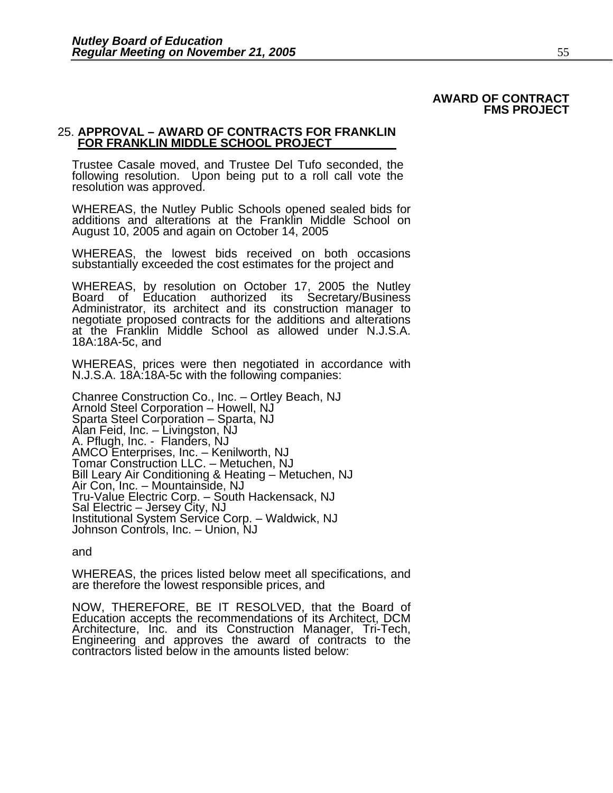## **AWARD OF CONTRACT FMS PROJECT**

## 25. **APPROVAL – AWARD OF CONTRACTS FOR FRANKLIN FOR FRANKLIN MIDDLE SCHOOL PROJECT**

Trustee Casale moved, and Trustee Del Tufo seconded, the following resolution. Upon being put to a roll call vote the resolution was approved.

WHEREAS, the Nutley Public Schools opened sealed bids for additions and alterations at the Franklin Middle School on August 10, 2005 and again on October 14, 2005

WHEREAS, the lowest bids received on both occasions substantially exceeded the cost estimates for the project and

WHEREAS, by resolution on October 17, 2005 the Nutley Board of Education authorized its Secretary/Business<br>Administrator, its architect and its construction manager to<br>negotiate proposed contracts for the additions and alterations at the Franklin Middle School as allowed under N.J.S.A. 18A:18A-5c, and

WHEREAS, prices were then negotiated in accordance with N.J.S.A. 18A:18A-5c with the following companies:

Chanree Construction Co., Inc. – Ortley Beach, NJ Arnold Steel Corporation – Howell, NJ Sparta Steel Corporation – Sparta, NJ Alan Feid, Inc. – Livingston, NJ A. Pflugh, Inc. - Flanders, NJ AMCO Enterprises, Inc. – Kenilworth, NJ Tomar Construction LLC. – Metuchen, NJ Bill Leary Air Conditioning & Heating – Metuchen, NJ Air Con, Inc. – Mountainside, NJ Tru-Value Electric Corp. – South Hackensack, NJ Sal Electric – Jersey City, NJ Institutional System Service Corp. – Waldwick, NJ Johnson Controls, Inc. – Union, NJ

and

WHEREAS, the prices listed below meet all specifications, and are therefore the lowest responsible prices, and

NOW, THEREFORE, BE IT RESOLVED, that the Board of Education accepts the recommendations of its Architect, DCM Architecture, Inc. and its Construction Manager, Tri-Tech, Engineering and approves the award of contracts to the contractors listed below in the amounts listed below: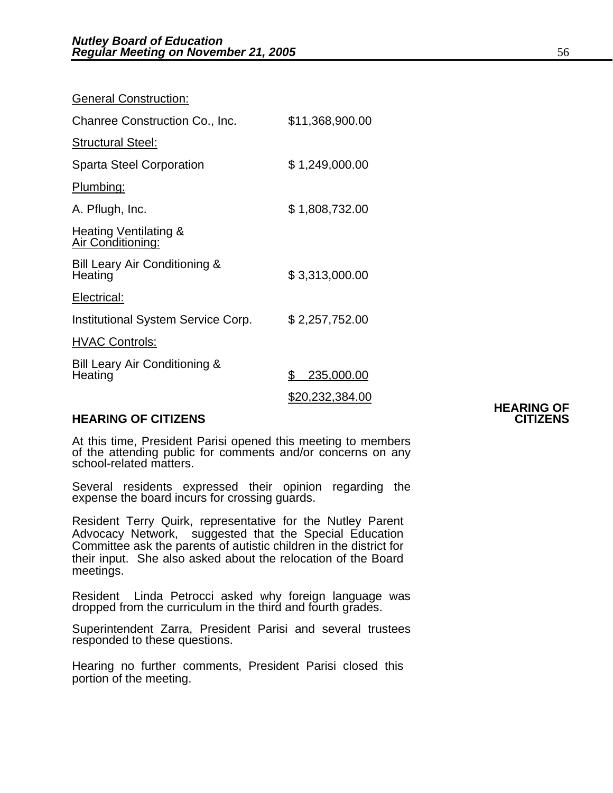| <b>General Construction:</b>                        |                        |
|-----------------------------------------------------|------------------------|
| Chanree Construction Co., Inc.                      | \$11,368,900.00        |
| <b>Structural Steel:</b>                            |                        |
| <b>Sparta Steel Corporation</b>                     | \$1,249,000.00         |
| <u>Plumbing:</u>                                    |                        |
| A. Pflugh, Inc.                                     | \$1,808,732.00         |
| Heating Ventilating &<br>Air Conditioning:          |                        |
| <b>Bill Leary Air Conditioning &amp;</b><br>Heating | \$3,313,000.00         |
| Electrical:                                         |                        |
| Institutional System Service Corp.                  | \$2,257,752.00         |
| <b>HVAC Controls:</b>                               |                        |
| Bill Leary Air Conditioning &<br>Heating            | \$<br>235,000.00       |
|                                                     | <u>\$20,232,384.00</u> |

#### **HEARING OF CITIZENS CITIZENS**

At this time, President Parisi opened this meeting to members of the attending public for comments and/or concerns on any school-related matters.

Several residents expressed their opinion regarding the expense the board incurs for crossing guards.

Resident Terry Quirk, representative for the Nutley Parent Advocacy Network, suggested that the Special Education Committee ask the parents of autistic children in the district for their input. She also asked about the relocation of the Board meetings.

Resident Linda Petrocci asked why foreign language was dropped from the curriculum in the third and fourth grades.

Superintendent Zarra, President Parisi and several trustees responded to these questions.

Hearing no further comments, President Parisi closed this portion of the meeting.